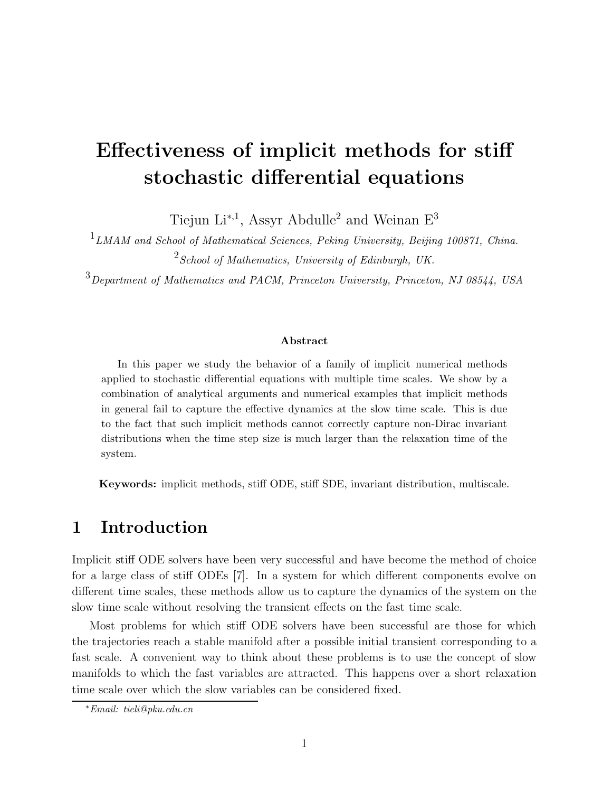# Effectiveness of implicit methods for stiff stochastic differential equations

Tiejun Li<sup>\*,1</sup>, Assyr Abdulle<sup>2</sup> and Weinan  $E^3$ 

<sup>1</sup> LMAM and School of Mathematical Sciences, Peking University, Beijing 100871, China.  $2$  School of Mathematics, University of Edinburgh, UK.

<sup>3</sup>Department of Mathematics and PACM, Princeton University, Princeton, NJ 08544, USA

#### Abstract

In this paper we study the behavior of a family of implicit numerical methods applied to stochastic differential equations with multiple time scales. We show by a combination of analytical arguments and numerical examples that implicit methods in general fail to capture the effective dynamics at the slow time scale. This is due to the fact that such implicit methods cannot correctly capture non-Dirac invariant distributions when the time step size is much larger than the relaxation time of the system.

Keywords: implicit methods, stiff ODE, stiff SDE, invariant distribution, multiscale.

### 1 Introduction

Implicit stiff ODE solvers have been very successful and have become the method of choice for a large class of stiff ODEs [7]. In a system for which different components evolve on different time scales, these methods allow us to capture the dynamics of the system on the slow time scale without resolving the transient effects on the fast time scale.

Most problems for which stiff ODE solvers have been successful are those for which the trajectories reach a stable manifold after a possible initial transient corresponding to a fast scale. A convenient way to think about these problems is to use the concept of slow manifolds to which the fast variables are attracted. This happens over a short relaxation time scale over which the slow variables can be considered fixed.

<sup>∗</sup>Email: tieli@pku.edu.cn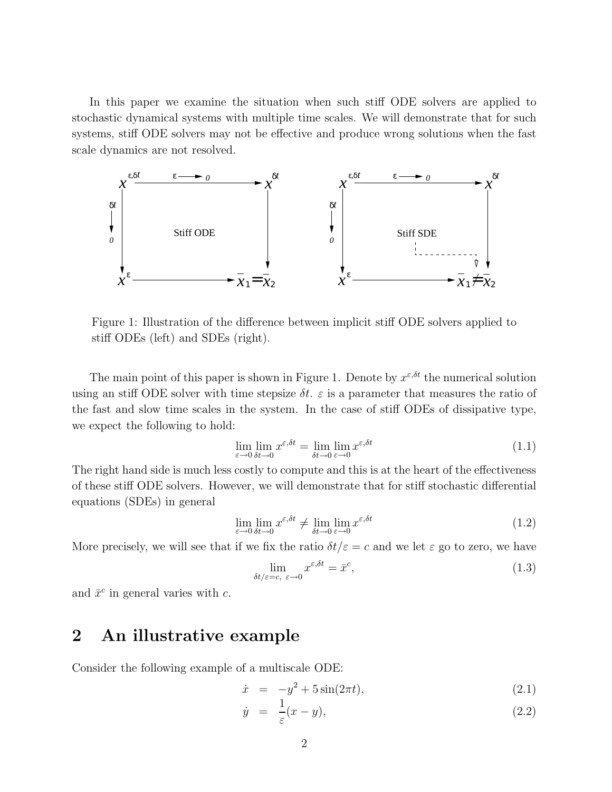In this paper we examine the situation when such stiff ODE solvers are applied to stochastic dynamical systems with multiple time scales. We will demonstrate that for such systems, stiff ODE solvers may not be effective and produce wrong solutions when the fast scale dynamics are not resolved.



Figure 1: Illustration of the difference between implicit stiff ODE solvers applied to stiff ODEs (left) and SDEs (right).

The main point of this paper is shown in Figure 1. Denote by  $x^{\varepsilon,\delta t}$  the numerical solution using an stiff ODE solver with time stepsize  $\delta t$ .  $\varepsilon$  is a parameter that measures the ratio of the fast and slow time scales in the system. In the case of stiff ODEs of dissipative type, we expect the following to hold:

$$
\lim_{\varepsilon \to 0} \lim_{\delta t \to 0} x^{\varepsilon, \delta t} = \lim_{\delta t \to 0} \lim_{\varepsilon \to 0} x^{\varepsilon, \delta t} \tag{1.1}
$$

The right hand side is much less costly to compute and this is at the heart of the effectiveness of these stiff ODE solvers. However, we will demonstrate that for stiff stochastic differential equations (SDEs) in general

$$
\lim_{\varepsilon \to 0} \lim_{\delta t \to 0} x^{\varepsilon, \delta t} \neq \lim_{\delta t \to 0} \lim_{\varepsilon \to 0} x^{\varepsilon, \delta t} \tag{1.2}
$$

More precisely, we will see that if we fix the ratio  $\delta t/\varepsilon = c$  and we let  $\varepsilon$  go to zero, we have

$$
\lim_{\delta t/\varepsilon = c, \ \varepsilon \to 0} x^{\varepsilon, \delta t} = \bar{x}^c,\tag{1.3}
$$

and  $\bar{x}^c$  in general varies with c.

## 2 An illustrative example

Consider the following example of a multiscale ODE:

$$
\dot{x} = -y^2 + 5\sin(2\pi t), \tag{2.1}
$$

$$
\dot{y} = \frac{1}{\varepsilon}(x - y),\tag{2.2}
$$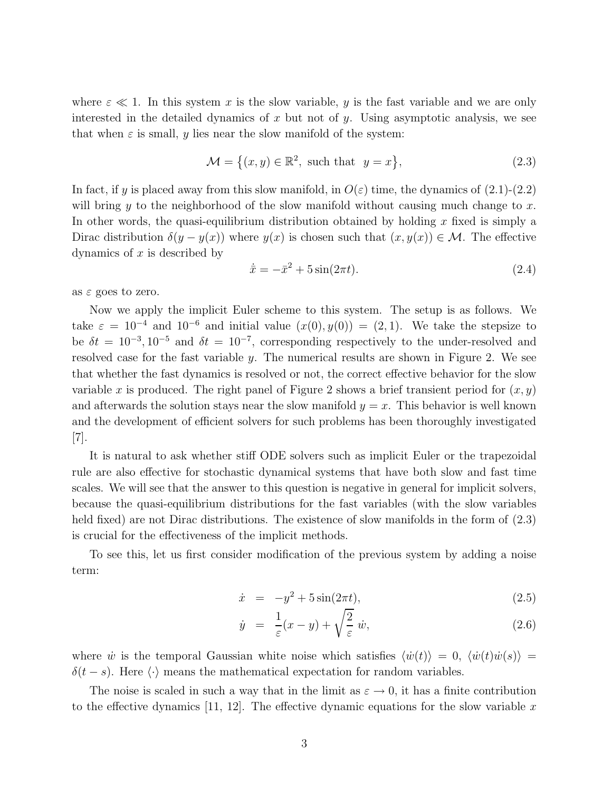where  $\varepsilon \ll 1$ . In this system x is the slow variable, y is the fast variable and we are only interested in the detailed dynamics of x but not of y. Using asymptotic analysis, we see that when  $\varepsilon$  is small, y lies near the slow manifold of the system:

$$
\mathcal{M} = \left\{ (x, y) \in \mathbb{R}^2, \text{ such that } y = x \right\},\tag{2.3}
$$

In fact, if y is placed away from this slow manifold, in  $O(\varepsilon)$  time, the dynamics of  $(2.1)-(2.2)$ will bring y to the neighborhood of the slow manifold without causing much change to x. In other words, the quasi-equilibrium distribution obtained by holding x fixed is simply a Dirac distribution  $\delta(y - y(x))$  where  $y(x)$  is chosen such that  $(x, y(x)) \in M$ . The effective dynamics of  $x$  is described by

$$
\dot{\bar{x}} = -\bar{x}^2 + 5\sin(2\pi t). \tag{2.4}
$$

as  $\varepsilon$  goes to zero.

Now we apply the implicit Euler scheme to this system. The setup is as follows. We take  $\varepsilon = 10^{-4}$  and  $10^{-6}$  and initial value  $(x(0), y(0)) = (2, 1)$ . We take the stepsize to be  $\delta t = 10^{-3}, 10^{-5}$  and  $\delta t = 10^{-7}$ , corresponding respectively to the under-resolved and resolved case for the fast variable y. The numerical results are shown in Figure 2. We see that whether the fast dynamics is resolved or not, the correct effective behavior for the slow variable x is produced. The right panel of Figure 2 shows a brief transient period for  $(x, y)$ and afterwards the solution stays near the slow manifold  $y = x$ . This behavior is well known and the development of efficient solvers for such problems has been thoroughly investigated [7].

It is natural to ask whether stiff ODE solvers such as implicit Euler or the trapezoidal rule are also effective for stochastic dynamical systems that have both slow and fast time scales. We will see that the answer to this question is negative in general for implicit solvers, because the quasi-equilibrium distributions for the fast variables (with the slow variables held fixed) are not Dirac distributions. The existence of slow manifolds in the form of  $(2.3)$ is crucial for the effectiveness of the implicit methods.

To see this, let us first consider modification of the previous system by adding a noise term:

$$
\dot{x} = -y^2 + 5\sin(2\pi t),
$$
\n(2.5)

$$
\dot{y} = \frac{1}{\varepsilon}(x - y) + \sqrt{\frac{2}{\varepsilon}}\,\dot{w},\tag{2.6}
$$

where  $\dot{w}$  is the temporal Gaussian white noise which satisfies  $\langle \dot{w}(t) \rangle = 0$ ,  $\langle \dot{w}(t) \dot{w}(s) \rangle =$  $\delta(t - s)$ . Here  $\langle \cdot \rangle$  means the mathematical expectation for random variables.

The noise is scaled in such a way that in the limit as  $\varepsilon \to 0$ , it has a finite contribution to the effective dynamics [11, 12]. The effective dynamic equations for the slow variable x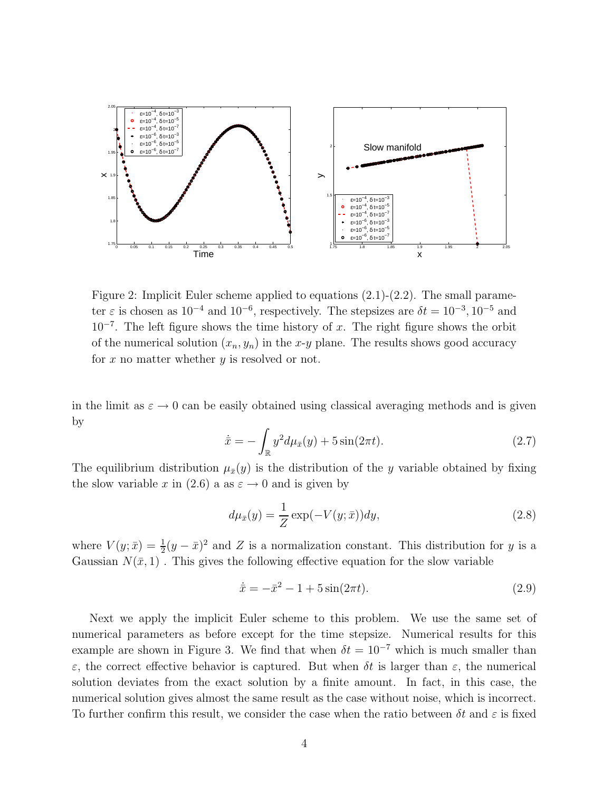

Figure 2: Implicit Euler scheme applied to equations (2.1)-(2.2). The small parameter  $\varepsilon$  is chosen as  $10^{-4}$  and  $10^{-6}$ , respectively. The stepsizes are  $\delta t = 10^{-3}$ ,  $10^{-5}$  and  $10^{-7}$ . The left figure shows the time history of x. The right figure shows the orbit of the numerical solution  $(x_n, y_n)$  in the x-y plane. The results shows good accuracy for  $x$  no matter whether  $y$  is resolved or not.

in the limit as  $\varepsilon \to 0$  can be easily obtained using classical averaging methods and is given by

$$
\dot{\bar{x}} = -\int_{\mathbb{R}} y^2 d\mu_{\bar{x}}(y) + 5\sin(2\pi t). \tag{2.7}
$$

The equilibrium distribution  $\mu_{\bar{x}}(y)$  is the distribution of the y variable obtained by fixing the slow variable x in (2.6) a as  $\varepsilon \to 0$  and is given by

$$
d\mu_{\bar{x}}(y) = \frac{1}{Z} \exp(-V(y; \bar{x})) dy,
$$
\n(2.8)

where  $V(y; \bar{x}) = \frac{1}{2}(y - \bar{x})^2$  and Z is a normalization constant. This distribution for y is a Gaussian  $N(\bar{x}, 1)$ . This gives the following effective equation for the slow variable

$$
\dot{\bar{x}} = -\bar{x}^2 - 1 + 5\sin(2\pi t). \tag{2.9}
$$

Next we apply the implicit Euler scheme to this problem. We use the same set of numerical parameters as before except for the time stepsize. Numerical results for this example are shown in Figure 3. We find that when  $\delta t = 10^{-7}$  which is much smaller than ε, the correct effective behavior is captured. But when δt is larger than ε, the numerical solution deviates from the exact solution by a finite amount. In fact, in this case, the numerical solution gives almost the same result as the case without noise, which is incorrect. To further confirm this result, we consider the case when the ratio between  $\delta t$  and  $\varepsilon$  is fixed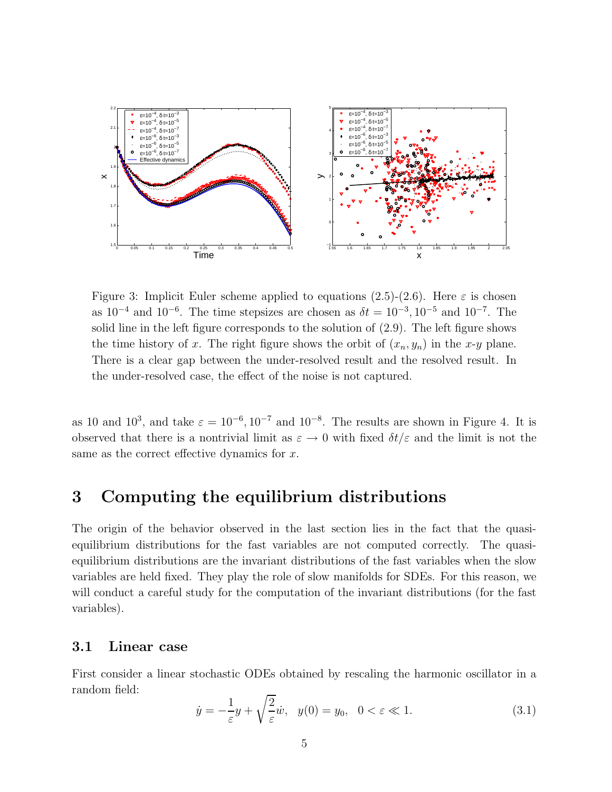

Figure 3: Implicit Euler scheme applied to equations (2.5)-(2.6). Here  $\varepsilon$  is chosen as  $10^{-4}$  and  $10^{-6}$ . The time stepsizes are chosen as  $\delta t = 10^{-3}, 10^{-5}$  and  $10^{-7}$ . The solid line in the left figure corresponds to the solution of (2.9). The left figure shows the time history of x. The right figure shows the orbit of  $(x_n, y_n)$  in the x-y plane. There is a clear gap between the under-resolved result and the resolved result. In the under-resolved case, the effect of the noise is not captured.

as 10 and 10<sup>3</sup>, and take  $\varepsilon = 10^{-6}$ ,  $10^{-7}$  and  $10^{-8}$ . The results are shown in Figure 4. It is observed that there is a nontrivial limit as  $\varepsilon \to 0$  with fixed  $\delta t/\varepsilon$  and the limit is not the same as the correct effective dynamics for x.

### 3 Computing the equilibrium distributions

The origin of the behavior observed in the last section lies in the fact that the quasiequilibrium distributions for the fast variables are not computed correctly. The quasiequilibrium distributions are the invariant distributions of the fast variables when the slow variables are held fixed. They play the role of slow manifolds for SDEs. For this reason, we will conduct a careful study for the computation of the invariant distributions (for the fast variables).

#### 3.1 Linear case

First consider a linear stochastic ODEs obtained by rescaling the harmonic oscillator in a random field:

$$
\dot{y} = -\frac{1}{\varepsilon}y + \sqrt{\frac{2}{\varepsilon}}\dot{w}, \quad y(0) = y_0, \quad 0 < \varepsilon \ll 1. \tag{3.1}
$$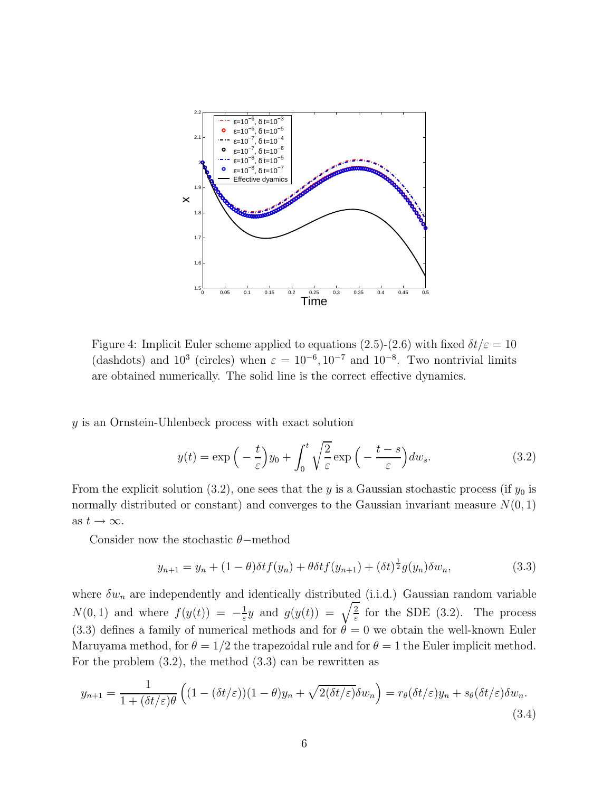

Figure 4: Implicit Euler scheme applied to equations (2.5)-(2.6) with fixed  $\delta t/\varepsilon = 10$ (dashdots) and  $10^3$  (circles) when  $\varepsilon = 10^{-6}, 10^{-7}$  and  $10^{-8}$ . Two nontrivial limits are obtained numerically. The solid line is the correct effective dynamics.

y is an Ornstein-Uhlenbeck process with exact solution

$$
y(t) = \exp\left(-\frac{t}{\varepsilon}\right)y_0 + \int_0^t \sqrt{\frac{2}{\varepsilon}} \exp\left(-\frac{t-s}{\varepsilon}\right) dw_s. \tag{3.2}
$$

From the explicit solution (3.2), one sees that the y is a Gaussian stochastic process (if  $y_0$  is normally distributed or constant) and converges to the Gaussian invariant measure  $N(0, 1)$ as  $t \to \infty$ .

Consider now the stochastic  $\theta$ -method

$$
y_{n+1} = y_n + (1 - \theta)\delta t f(y_n) + \theta \delta t f(y_{n+1}) + (\delta t)^{\frac{1}{2}} g(y_n) \delta w_n,
$$
\n(3.3)

where  $\delta w_n$  are independently and identically distributed (i.i.d.) Gaussian random variable  $N(0, 1)$  and where  $f(y(t)) = -\frac{1}{\varepsilon}$  $\frac{1}{\varepsilon}y$  and  $g(y(t)) = \sqrt{\frac{2}{\varepsilon}}$  for the SDE (3.2). The process (3.3) defines a family of numerical methods and for  $\theta = 0$  we obtain the well-known Euler Maruyama method, for  $\theta = 1/2$  the trapezoidal rule and for  $\theta = 1$  the Euler implicit method. For the problem (3.2), the method (3.3) can be rewritten as

$$
y_{n+1} = \frac{1}{1 + (\delta t/\varepsilon)\theta} \left( (1 - (\delta t/\varepsilon))(1 - \theta)y_n + \sqrt{2(\delta t/\varepsilon)}\delta w_n \right) = r_\theta(\delta t/\varepsilon)y_n + s_\theta(\delta t/\varepsilon)\delta w_n. \tag{3.4}
$$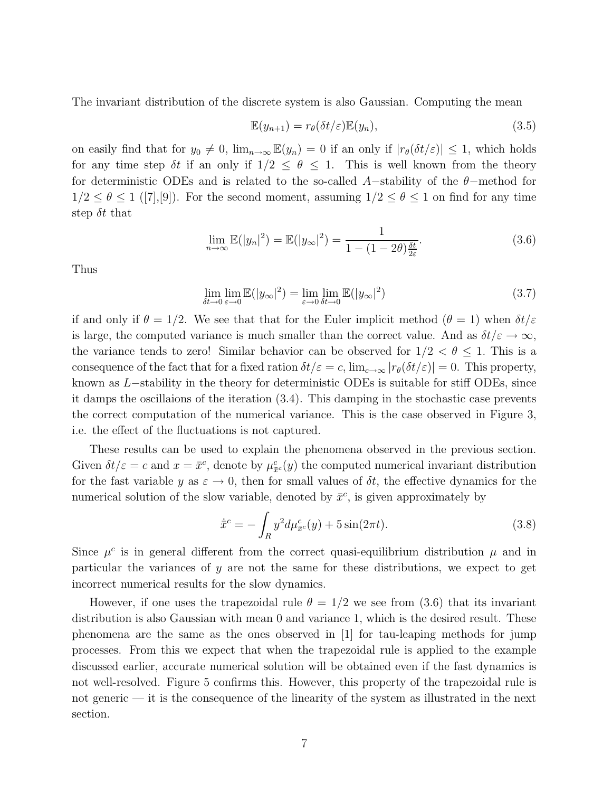The invariant distribution of the discrete system is also Gaussian. Computing the mean

$$
\mathbb{E}(y_{n+1}) = r_{\theta}(\delta t/\varepsilon)\mathbb{E}(y_n),\tag{3.5}
$$

on easily find that for  $y_0 \neq 0$ ,  $\lim_{n\to\infty} \mathbb{E}(y_n) = 0$  if an only if  $|r_\theta(\delta t/\varepsilon)| \leq 1$ , which holds for any time step  $\delta t$  if an only if  $1/2 \leq \theta \leq 1$ . This is well known from the theory for deterministic ODEs and is related to the so-called A-stability of the  $\theta$ -method for  $1/2 \leq \theta \leq 1$  ([7], [9]). For the second moment, assuming  $1/2 \leq \theta \leq 1$  on find for any time step  $\delta t$  that

$$
\lim_{n \to \infty} \mathbb{E}(|y_n|^2) = \mathbb{E}(|y_\infty|^2) = \frac{1}{1 - (1 - 2\theta)\frac{\delta t}{2\varepsilon}}.
$$
\n(3.6)

Thus

$$
\lim_{\delta t \to 0} \lim_{\varepsilon \to 0} \mathbb{E}(|y_{\infty}|^2) = \lim_{\varepsilon \to 0} \lim_{\delta t \to 0} \mathbb{E}(|y_{\infty}|^2)
$$
\n(3.7)

if and only if  $\theta = 1/2$ . We see that that for the Euler implicit method  $(\theta = 1)$  when  $\delta t/\varepsilon$ is large, the computed variance is much smaller than the correct value. And as  $\delta t/\varepsilon \to \infty$ , the variance tends to zero! Similar behavior can be observed for  $1/2 < \theta \leq 1$ . This is a consequence of the fact that for a fixed ration  $\delta t/\varepsilon = c$ ,  $\lim_{c\to\infty} |r_\theta(\delta t/\varepsilon)| = 0$ . This property, known as L−stability in the theory for deterministic ODEs is suitable for stiff ODEs, since it damps the oscillaions of the iteration (3.4). This damping in the stochastic case prevents the correct computation of the numerical variance. This is the case observed in Figure 3, i.e. the effect of the fluctuations is not captured.

These results can be used to explain the phenomena observed in the previous section. Given  $\delta t/\varepsilon = c$  and  $x = \bar{x}^c$ , denote by  $\mu_{\bar{x}^c}(y)$  the computed numerical invariant distribution for the fast variable y as  $\varepsilon \to 0$ , then for small values of  $\delta t$ , the effective dynamics for the numerical solution of the slow variable, denoted by  $\bar{x}^c$ , is given approximately by

$$
\dot{\bar{x}}^c = -\int_R y^2 d\mu_{\bar{x}^c}^c(y) + 5\sin(2\pi t). \tag{3.8}
$$

Since  $\mu^c$  is in general different from the correct quasi-equilibrium distribution  $\mu$  and in particular the variances of  $y$  are not the same for these distributions, we expect to get incorrect numerical results for the slow dynamics.

However, if one uses the trapezoidal rule  $\theta = 1/2$  we see from (3.6) that its invariant distribution is also Gaussian with mean 0 and variance 1, which is the desired result. These phenomena are the same as the ones observed in [1] for tau-leaping methods for jump processes. From this we expect that when the trapezoidal rule is applied to the example discussed earlier, accurate numerical solution will be obtained even if the fast dynamics is not well-resolved. Figure 5 confirms this. However, this property of the trapezoidal rule is not generic — it is the consequence of the linearity of the system as illustrated in the next section.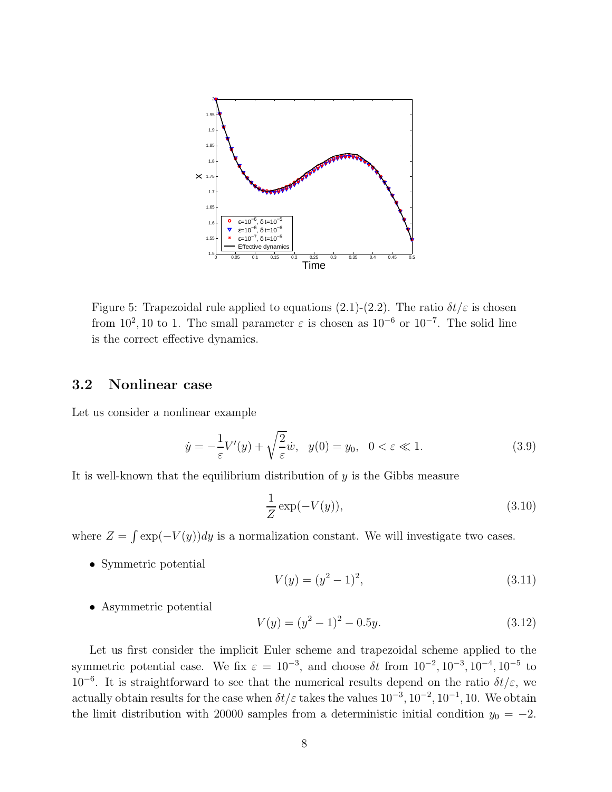

Figure 5: Trapezoidal rule applied to equations (2.1)-(2.2). The ratio  $\delta t/\varepsilon$  is chosen from 10<sup>2</sup>, 10 to 1. The small parameter  $\varepsilon$  is chosen as 10<sup>-6</sup> or 10<sup>-7</sup>. The solid line is the correct effective dynamics.

### 3.2 Nonlinear case

Let us consider a nonlinear example

$$
\dot{y} = -\frac{1}{\varepsilon}V'(y) + \sqrt{\frac{2}{\varepsilon}}\dot{w}, \quad y(0) = y_0, \quad 0 < \varepsilon \ll 1. \tag{3.9}
$$

It is well-known that the equilibrium distribution of y is the Gibbs measure

$$
\frac{1}{Z}\exp(-V(y)),\tag{3.10}
$$

where  $Z = \int \exp(-V(y))dy$  is a normalization constant. We will investigate two cases.

• Symmetric potential

$$
V(y) = (y^2 - 1)^2,
$$
\n(3.11)

• Asymmetric potential

$$
V(y) = (y^2 - 1)^2 - 0.5y.
$$
\n(3.12)

Let us first consider the implicit Euler scheme and trapezoidal scheme applied to the symmetric potential case. We fix  $\varepsilon = 10^{-3}$ , and choose  $\delta t$  from  $10^{-2}$ ,  $10^{-3}$ ,  $10^{-4}$ ,  $10^{-5}$  to 10<sup>-6</sup>. It is straightforward to see that the numerical results depend on the ratio  $\delta t/\varepsilon$ , we actually obtain results for the case when  $\delta t/\varepsilon$  takes the values  $10^{-3}$ ,  $10^{-2}$ ,  $10^{-1}$ ,  $10$ . We obtain the limit distribution with 20000 samples from a deterministic initial condition  $y_0 = -2$ .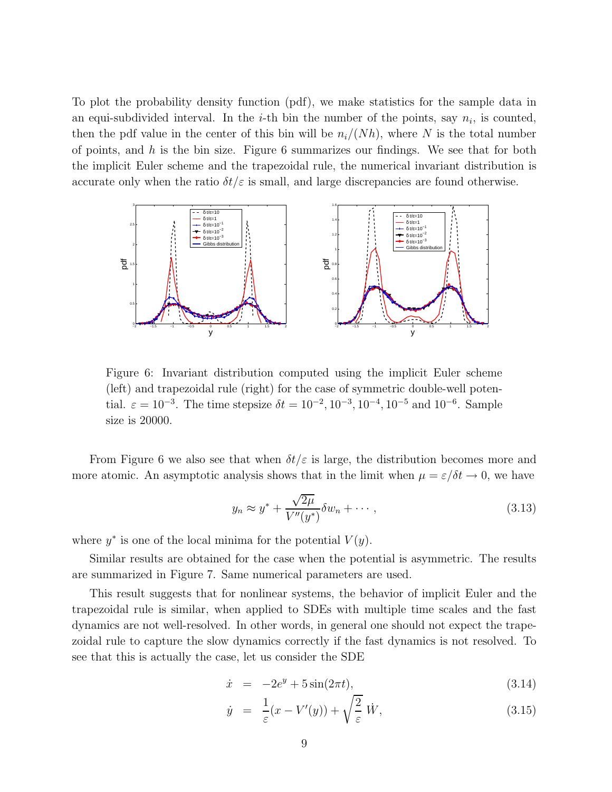To plot the probability density function (pdf), we make statistics for the sample data in an equi-subdivided interval. In the *i*-th bin the number of the points, say  $n_i$ , is counted, then the pdf value in the center of this bin will be  $n_i/(Nh)$ , where N is the total number of points, and  $h$  is the bin size. Figure 6 summarizes our findings. We see that for both the implicit Euler scheme and the trapezoidal rule, the numerical invariant distribution is accurate only when the ratio  $\delta t/\varepsilon$  is small, and large discrepancies are found otherwise.



Figure 6: Invariant distribution computed using the implicit Euler scheme (left) and trapezoidal rule (right) for the case of symmetric double-well potential.  $\varepsilon = 10^{-3}$ . The time stepsize  $\delta t = 10^{-2}$ ,  $10^{-3}$ ,  $10^{-4}$ ,  $10^{-5}$  and  $10^{-6}$ . Sample size is 20000.

From Figure 6 we also see that when  $\delta t/\varepsilon$  is large, the distribution becomes more and more atomic. An asymptotic analysis shows that in the limit when  $\mu = \varepsilon/\delta t \to 0$ , we have

$$
y_n \approx y^* + \frac{\sqrt{2\mu}}{V''(y^*)} \delta w_n + \cdots, \qquad (3.13)
$$

where  $y^*$  is one of the local minima for the potential  $V(y)$ .

Similar results are obtained for the case when the potential is asymmetric. The results are summarized in Figure 7. Same numerical parameters are used.

This result suggests that for nonlinear systems, the behavior of implicit Euler and the trapezoidal rule is similar, when applied to SDEs with multiple time scales and the fast dynamics are not well-resolved. In other words, in general one should not expect the trapezoidal rule to capture the slow dynamics correctly if the fast dynamics is not resolved. To see that this is actually the case, let us consider the SDE

$$
\dot{x} = -2e^y + 5\sin(2\pi t), \qquad (3.14)
$$

$$
\dot{y} = \frac{1}{\varepsilon}(x - V'(y)) + \sqrt{\frac{2}{\varepsilon}} \dot{W}, \tag{3.15}
$$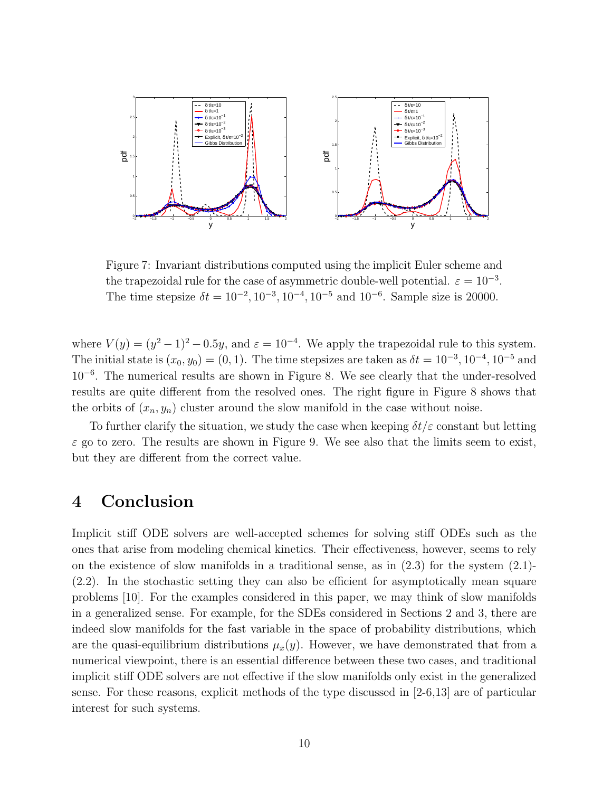

Figure 7: Invariant distributions computed using the implicit Euler scheme and the trapezoidal rule for the case of asymmetric double-well potential.  $\varepsilon = 10^{-3}$ . The time stepsize  $\delta t = 10^{-2}$ ,  $10^{-3}$ ,  $10^{-4}$ ,  $10^{-5}$  and  $10^{-6}$ . Sample size is 20000.

where  $V(y) = (y^2 - 1)^2 - 0.5y$ , and  $\varepsilon = 10^{-4}$ . We apply the trapezoidal rule to this system. The initial state is  $(x_0, y_0) = (0, 1)$ . The time stepsizes are taken as  $\delta t = 10^{-3}, 10^{-4}, 10^{-5}$  and 10<sup>−</sup><sup>6</sup> . The numerical results are shown in Figure 8. We see clearly that the under-resolved results are quite different from the resolved ones. The right figure in Figure 8 shows that the orbits of  $(x_n, y_n)$  cluster around the slow manifold in the case without noise.

To further clarify the situation, we study the case when keeping  $\delta t/\varepsilon$  constant but letting  $\varepsilon$  go to zero. The results are shown in Figure 9. We see also that the limits seem to exist, but they are different from the correct value.

### 4 Conclusion

Implicit stiff ODE solvers are well-accepted schemes for solving stiff ODEs such as the ones that arise from modeling chemical kinetics. Their effectiveness, however, seems to rely on the existence of slow manifolds in a traditional sense, as in  $(2.3)$  for the system  $(2.1)$ -(2.2). In the stochastic setting they can also be efficient for asymptotically mean square problems [10]. For the examples considered in this paper, we may think of slow manifolds in a generalized sense. For example, for the SDEs considered in Sections 2 and 3, there are indeed slow manifolds for the fast variable in the space of probability distributions, which are the quasi-equilibrium distributions  $\mu_{\bar{x}}(y)$ . However, we have demonstrated that from a numerical viewpoint, there is an essential difference between these two cases, and traditional implicit stiff ODE solvers are not effective if the slow manifolds only exist in the generalized sense. For these reasons, explicit methods of the type discussed in [2-6,13] are of particular interest for such systems.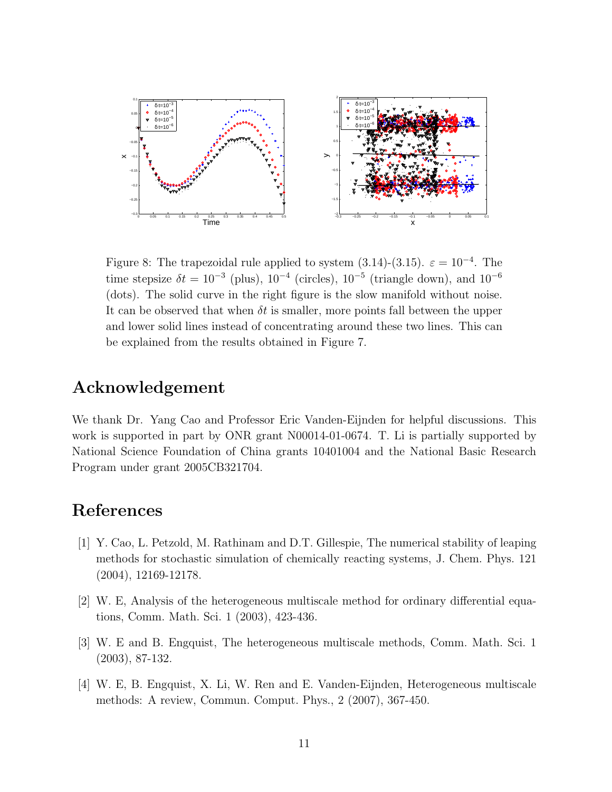

Figure 8: The trapezoidal rule applied to system  $(3.14)-(3.15)$ .  $\varepsilon = 10^{-4}$ . The time stepsize  $\delta t = 10^{-3}$  (plus),  $10^{-4}$  (circles),  $10^{-5}$  (triangle down), and  $10^{-6}$ (dots). The solid curve in the right figure is the slow manifold without noise. It can be observed that when  $\delta t$  is smaller, more points fall between the upper and lower solid lines instead of concentrating around these two lines. This can be explained from the results obtained in Figure 7.

### Acknowledgement

We thank Dr. Yang Cao and Professor Eric Vanden-Eijnden for helpful discussions. This work is supported in part by ONR grant N00014-01-0674. T. Li is partially supported by National Science Foundation of China grants 10401004 and the National Basic Research Program under grant 2005CB321704.

### References

- [1] Y. Cao, L. Petzold, M. Rathinam and D.T. Gillespie, The numerical stability of leaping methods for stochastic simulation of chemically reacting systems, J. Chem. Phys. 121 (2004), 12169-12178.
- [2] W. E, Analysis of the heterogeneous multiscale method for ordinary differential equations, Comm. Math. Sci. 1 (2003), 423-436.
- [3] W. E and B. Engquist, The heterogeneous multiscale methods, Comm. Math. Sci. 1 (2003), 87-132.
- [4] W. E, B. Engquist, X. Li, W. Ren and E. Vanden-Eijnden, Heterogeneous multiscale methods: A review, Commun. Comput. Phys., 2 (2007), 367-450.